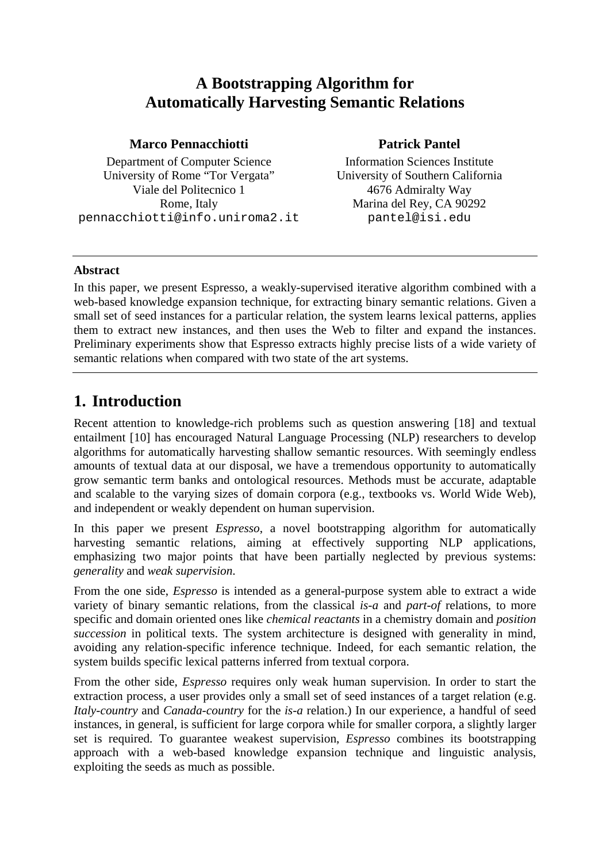# **A Bootstrapping Algorithm for Automatically Harvesting Semantic Relations**

#### **Marco Pennacchiotti**

Department of Computer Science University of Rome "Tor Vergata" Viale del Politecnico 1 Rome, Italy pennacchiotti@info.uniroma2.it

### **Patrick Pantel**

Information Sciences Institute University of Southern California 4676 Admiralty Way Marina del Rey, CA 90292 pantel@isi.edu

### **Abstract**

In this paper, we present Espresso, a weakly-supervised iterative algorithm combined with a web-based knowledge expansion technique, for extracting binary semantic relations. Given a small set of seed instances for a particular relation, the system learns lexical patterns, applies them to extract new instances, and then uses the Web to filter and expand the instances. Preliminary experiments show that Espresso extracts highly precise lists of a wide variety of semantic relations when compared with two state of the art systems.

# **1. Introduction**

Recent attention to knowledge-rich problems such as question answering [18] and textual entailment [10] has encouraged Natural Language Processing (NLP) researchers to develop algorithms for automatically harvesting shallow semantic resources. With seemingly endless amounts of textual data at our disposal, we have a tremendous opportunity to automatically grow semantic term banks and ontological resources. Methods must be accurate, adaptable and scalable to the varying sizes of domain corpora (e.g., textbooks vs. World Wide Web), and independent or weakly dependent on human supervision.

In this paper we present *Espresso*, a novel bootstrapping algorithm for automatically harvesting semantic relations, aiming at effectively supporting NLP applications, emphasizing two major points that have been partially neglected by previous systems: *generality* and *weak supervision*.

From the one side, *Espresso* is intended as a general-purpose system able to extract a wide variety of binary semantic relations, from the classical *is-a* and *part-of* relations, to more specific and domain oriented ones like *chemical reactants* in a chemistry domain and *position succession* in political texts. The system architecture is designed with generality in mind, avoiding any relation-specific inference technique. Indeed, for each semantic relation, the system builds specific lexical patterns inferred from textual corpora.

From the other side, *Espresso* requires only weak human supervision. In order to start the extraction process, a user provides only a small set of seed instances of a target relation (e.g. *Italy-country* and *Canada-country* for the *is-a* relation.) In our experience, a handful of seed instances, in general, is sufficient for large corpora while for smaller corpora, a slightly larger set is required. To guarantee weakest supervision, *Espresso* combines its bootstrapping approach with a web-based knowledge expansion technique and linguistic analysis, exploiting the seeds as much as possible.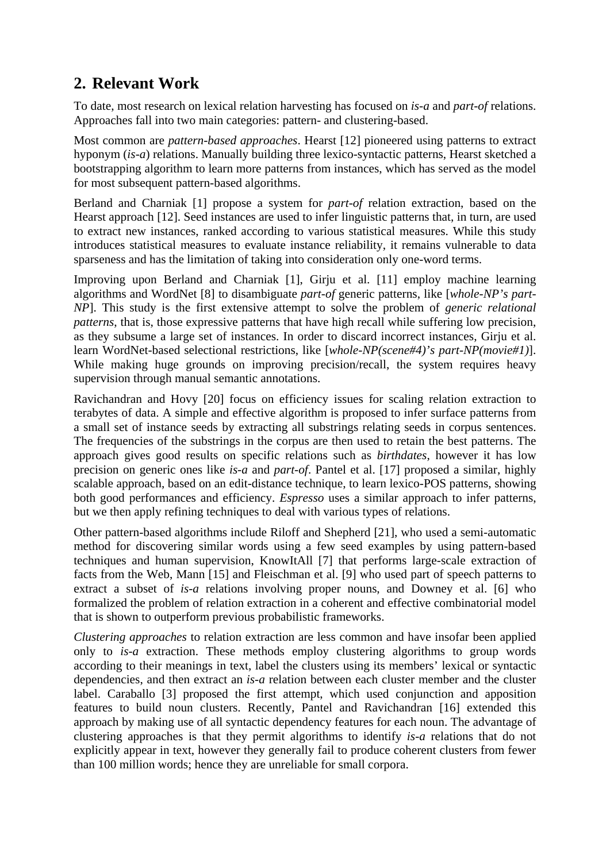# **2. Relevant Work**

To date, most research on lexical relation harvesting has focused on *is-a* and *part-of* relations. Approaches fall into two main categories: pattern- and clustering-based.

Most common are *pattern-based approaches*. Hearst [12] pioneered using patterns to extract hyponym (*is-a*) relations. Manually building three lexico-syntactic patterns, Hearst sketched a bootstrapping algorithm to learn more patterns from instances, which has served as the model for most subsequent pattern-based algorithms.

Berland and Charniak [1] propose a system for *part-of* relation extraction, based on the Hearst approach [12]. Seed instances are used to infer linguistic patterns that, in turn, are used to extract new instances, ranked according to various statistical measures. While this study introduces statistical measures to evaluate instance reliability, it remains vulnerable to data sparseness and has the limitation of taking into consideration only one-word terms.

Improving upon Berland and Charniak [1], Girju et al. [11] employ machine learning algorithms and WordNet [8] to disambiguate *part-of* generic patterns, like [*whole-NP's part-NP*]. This study is the first extensive attempt to solve the problem of *generic relational patterns*, that is, those expressive patterns that have high recall while suffering low precision, as they subsume a large set of instances. In order to discard incorrect instances, Girju et al. learn WordNet-based selectional restrictions, like [*whole-NP(scene#4)'s part-NP(movie#1)*]. While making huge grounds on improving precision/recall, the system requires heavy supervision through manual semantic annotations.

Ravichandran and Hovy [20] focus on efficiency issues for scaling relation extraction to terabytes of data. A simple and effective algorithm is proposed to infer surface patterns from a small set of instance seeds by extracting all substrings relating seeds in corpus sentences. The frequencies of the substrings in the corpus are then used to retain the best patterns. The approach gives good results on specific relations such as *birthdates*, however it has low precision on generic ones like *is-a* and *part-of*. Pantel et al. [17] proposed a similar, highly scalable approach, based on an edit-distance technique, to learn lexico-POS patterns, showing both good performances and efficiency. *Espresso* uses a similar approach to infer patterns, but we then apply refining techniques to deal with various types of relations.

Other pattern-based algorithms include Riloff and Shepherd [21], who used a semi-automatic method for discovering similar words using a few seed examples by using pattern-based techniques and human supervision, KnowItAll [7] that performs large-scale extraction of facts from the Web, Mann [15] and Fleischman et al. [9] who used part of speech patterns to extract a subset of *is-a* relations involving proper nouns, and Downey et al. [6] who formalized the problem of relation extraction in a coherent and effective combinatorial model that is shown to outperform previous probabilistic frameworks.

*Clustering approaches* to relation extraction are less common and have insofar been applied only to *is-a* extraction. These methods employ clustering algorithms to group words according to their meanings in text, label the clusters using its members' lexical or syntactic dependencies, and then extract an *is-a* relation between each cluster member and the cluster label. Caraballo [3] proposed the first attempt, which used conjunction and apposition features to build noun clusters. Recently, Pantel and Ravichandran [16] extended this approach by making use of all syntactic dependency features for each noun. The advantage of clustering approaches is that they permit algorithms to identify *is-a* relations that do not explicitly appear in text, however they generally fail to produce coherent clusters from fewer than 100 million words; hence they are unreliable for small corpora.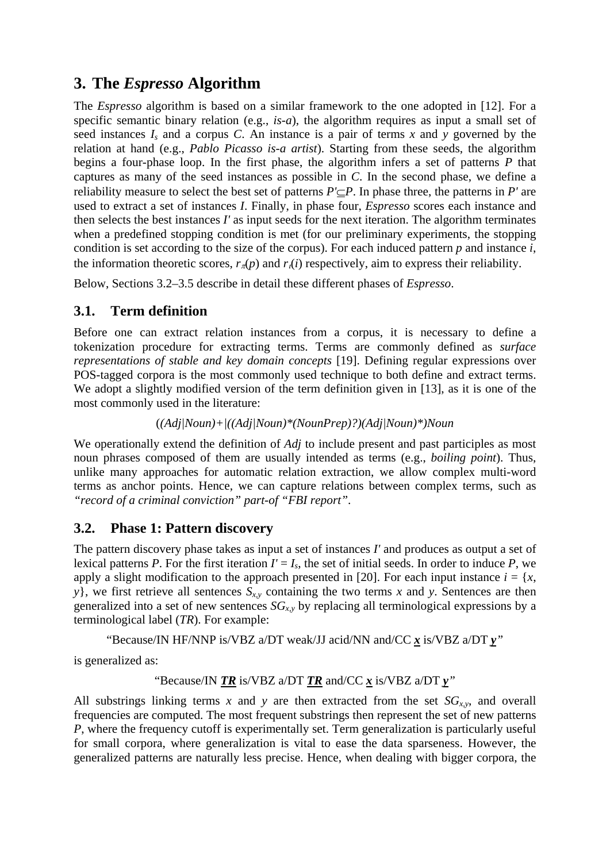# **3. The** *Espresso* **Algorithm**

The *Espresso* algorithm is based on a similar framework to the one adopted in [12]. For a specific semantic binary relation (e.g., *is-a*), the algorithm requires as input a small set of seed instances  $I_s$  and a corpus C. An instance is a pair of terms x and y governed by the relation at hand (e.g., *Pablo Picasso is-a artist*). Starting from these seeds, the algorithm begins a four-phase loop. In the first phase, the algorithm infers a set of patterns *P* that captures as many of the seed instances as possible in *C*. In the second phase, we define a reliability measure to select the best set of patterns *P'*⊆*P*. In phase three, the patterns in *P'* are used to extract a set of instances *I*. Finally, in phase four, *Espresso* scores each instance and then selects the best instances *I'* as input seeds for the next iteration. The algorithm terminates when a predefined stopping condition is met (for our preliminary experiments, the stopping condition is set according to the size of the corpus). For each induced pattern *p* and instance *i*, the information theoretic scores,  $r_\pi(p)$  and  $r_\pi(i)$  respectively, aim to express their reliability.

Below, Sections 3.2–3.5 describe in detail these different phases of *Espresso*.

## **3.1. Term definition**

Before one can extract relation instances from a corpus, it is necessary to define a tokenization procedure for extracting terms. Terms are commonly defined as *surface representations of stable and key domain concepts* [19]. Defining regular expressions over POS-tagged corpora is the most commonly used technique to both define and extract terms. We adopt a slightly modified version of the term definition given in [13], as it is one of the most commonly used in the literature:

(*(Adj|Noun)+|((Adj|Noun)\*(NounPrep)?)(Adj|Noun)\*)Noun*

We operationally extend the definition of *Adj* to include present and past participles as most noun phrases composed of them are usually intended as terms (e.g., *boiling point*). Thus, unlike many approaches for automatic relation extraction, we allow complex multi-word terms as anchor points. Hence, we can capture relations between complex terms, such as *"record of a criminal conviction" part-of "FBI report"*.

## **3.2. Phase 1: Pattern discovery**

The pattern discovery phase takes as input a set of instances *I'* and produces as output a set of lexical patterns *P*. For the first iteration  $I' = I_s$ , the set of initial seeds. In order to induce *P*, we apply a slight modification to the approach presented in [20]. For each input instance  $i = \{x, \}$ *y*}, we first retrieve all sentences  $S_{x,y}$  containing the two terms *x* and *y*. Sentences are then generalized into a set of new sentences  $SG_{xy}$  by replacing all terminological expressions by a terminological label (*TR*). For example:

"Because/IN HF/NNP is/VBZ a/DT weak/JJ acid/NN and/CC *x* is/VBZ a/DT *y"* 

is generalized as:

"Because/IN 
$$
TR
$$
 is/VBZ a/DT  $TR$  and/CC  $x$  is/VBZ a/DT  $y$ ."

All substrings linking terms x and y are then extracted from the set  $SG_{xy}$ , and overall frequencies are computed. The most frequent substrings then represent the set of new patterns *P*, where the frequency cutoff is experimentally set. Term generalization is particularly useful for small corpora, where generalization is vital to ease the data sparseness. However, the generalized patterns are naturally less precise. Hence, when dealing with bigger corpora, the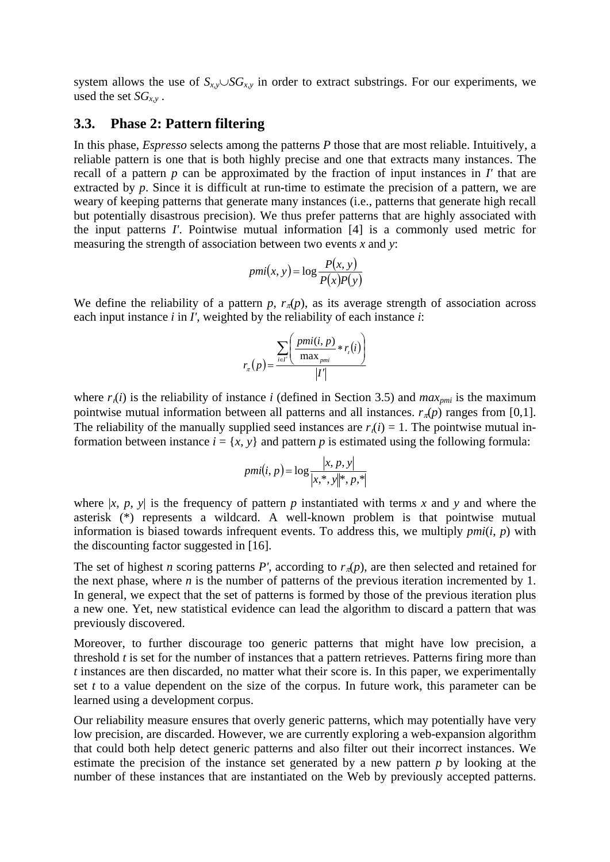system allows the use of  $S_{x,y} \cup SG_{x,y}$  in order to extract substrings. For our experiments, we used the set  $SG_{xy}$ .

### **3.3. Phase 2: Pattern filtering**

In this phase, *Espresso* selects among the patterns *P* those that are most reliable. Intuitively, a reliable pattern is one that is both highly precise and one that extracts many instances. The recall of a pattern *p* can be approximated by the fraction of input instances in *I'* that are extracted by *p*. Since it is difficult at run-time to estimate the precision of a pattern, we are weary of keeping patterns that generate many instances (i.e., patterns that generate high recall but potentially disastrous precision). We thus prefer patterns that are highly associated with the input patterns *I'*. Pointwise mutual information [4] is a commonly used metric for measuring the strength of association between two events *x* and *y*:

$$
pmi(x, y) = \log \frac{P(x, y)}{P(x)P(y)}
$$

We define the reliability of a pattern *p*,  $r_{\pi}(p)$ , as its average strength of association across each input instance *i* in *I'*, weighted by the reliability of each instance *i*:

$$
r_{\pi}(p) = \frac{\sum_{i \in I'} \left( \frac{pmi(i, p)}{\max_{pmi}} * r_i(i) \right)}{|I'|}
$$

where  $r_i(i)$  is the reliability of instance *i* (defined in Section 3.5) and  $max_{pmi}$  is the maximum pointwise mutual information between all patterns and all instances.  $r_n(p)$  ranges from [0,1]. The reliability of the manually supplied seed instances are  $r_1(i) = 1$ . The pointwise mutual information between instance  $i = \{x, y\}$  and pattern *p* is estimated using the following formula:

$$
pmi(i, p) = \log \frac{|x, p, y|}{|x, *, y||*, p, *|}
$$

where  $|x, p, y|$  is the frequency of pattern *p* instantiated with terms *x* and *y* and where the asterisk (\*) represents a wildcard. A well-known problem is that pointwise mutual information is biased towards infrequent events. To address this, we multiply *pmi*(*i*, *p*) with the discounting factor suggested in [16].

The set of highest *n* scoring patterns *P'*, according to  $r_{\pi}(p)$ , are then selected and retained for the next phase, where  $n$  is the number of patterns of the previous iteration incremented by 1. In general, we expect that the set of patterns is formed by those of the previous iteration plus a new one. Yet, new statistical evidence can lead the algorithm to discard a pattern that was previously discovered.

Moreover, to further discourage too generic patterns that might have low precision, a threshold *t* is set for the number of instances that a pattern retrieves. Patterns firing more than *t* instances are then discarded, no matter what their score is. In this paper, we experimentally set *t* to a value dependent on the size of the corpus. In future work, this parameter can be learned using a development corpus.

Our reliability measure ensures that overly generic patterns, which may potentially have very low precision, are discarded. However, we are currently exploring a web-expansion algorithm that could both help detect generic patterns and also filter out their incorrect instances. We estimate the precision of the instance set generated by a new pattern *p* by looking at the number of these instances that are instantiated on the Web by previously accepted patterns.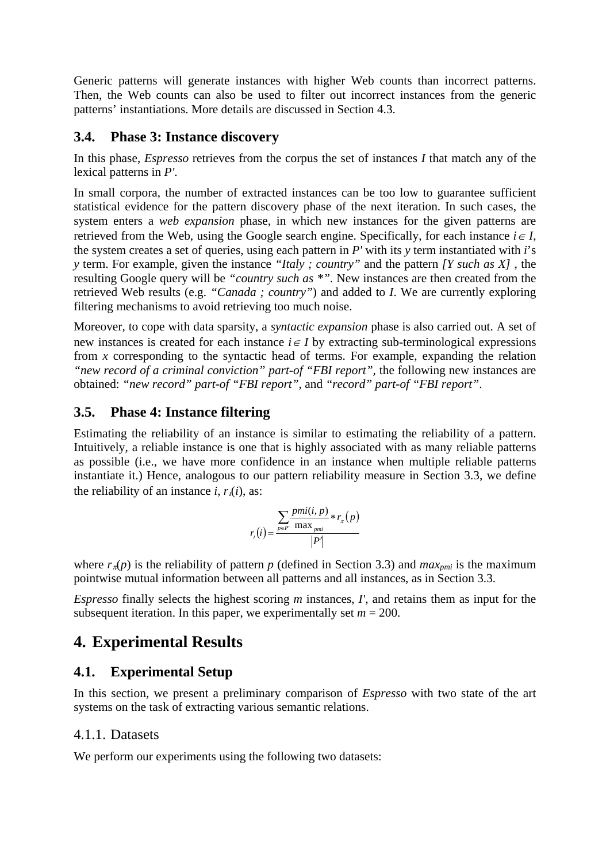Generic patterns will generate instances with higher Web counts than incorrect patterns. Then, the Web counts can also be used to filter out incorrect instances from the generic patterns' instantiations. More details are discussed in Section 4.3.

### **3.4. Phase 3: Instance discovery**

In this phase, *Espresso* retrieves from the corpus the set of instances *I* that match any of the lexical patterns in *P'*.

In small corpora, the number of extracted instances can be too low to guarantee sufficient statistical evidence for the pattern discovery phase of the next iteration. In such cases, the system enters a *web expansion* phase, in which new instances for the given patterns are retrieved from the Web, using the Google search engine. Specifically, for each instance  $i \in I$ , the system creates a set of queries, using each pattern in *P'* with its *y* term instantiated with *i*'s *y* term. For example, given the instance *"Italy ; country"* and the pattern *[Y such as X]* , the resulting Google query will be *"country such as \*"*. New instances are then created from the retrieved Web results (e.g. *"Canada ; country"*) and added to *I*. We are currently exploring filtering mechanisms to avoid retrieving too much noise.

Moreover, to cope with data sparsity, a *syntactic expansion* phase is also carried out. A set of new instances is created for each instance  $i \in I$  by extracting sub-terminological expressions from *x* corresponding to the syntactic head of terms. For example, expanding the relation *"new record of a criminal conviction" part-of "FBI report"*, the following new instances are obtained: *"new record" part-of "FBI report"*, and *"record" part-of "FBI report"*.

## **3.5. Phase 4: Instance filtering**

Estimating the reliability of an instance is similar to estimating the reliability of a pattern. Intuitively, a reliable instance is one that is highly associated with as many reliable patterns as possible (i.e., we have more confidence in an instance when multiple reliable patterns instantiate it.) Hence, analogous to our pattern reliability measure in Section 3.3, we define the reliability of an instance  $i$ ,  $r_i(i)$ , as:

$$
r_{i}(i) = \frac{\sum_{p \in P'} pmi(i, p)}{|P'|} * r_{\pi}(p)
$$

where  $r_{\pi}(p)$  is the reliability of pattern *p* (defined in Section 3.3) and *max<sub>pmi</sub>* is the maximum pointwise mutual information between all patterns and all instances, as in Section 3.3.

*Espresso* finally selects the highest scoring *m* instances, *I'*, and retains them as input for the subsequent iteration. In this paper, we experimentally set  $m = 200$ .

# **4. Experimental Results**

## **4.1. Experimental Setup**

In this section, we present a preliminary comparison of *Espresso* with two state of the art systems on the task of extracting various semantic relations.

### 4.1.1. Datasets

We perform our experiments using the following two datasets: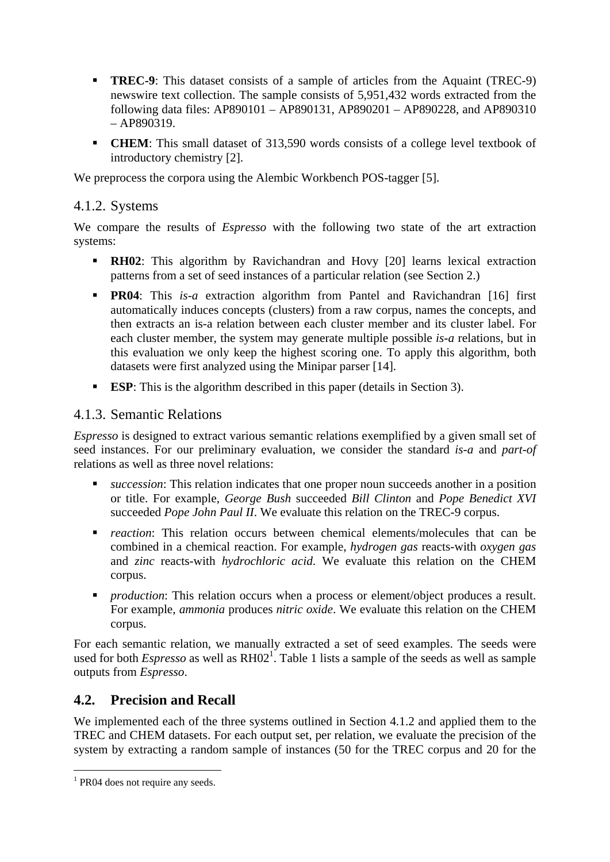- **TREC-9**: This dataset consists of a sample of articles from the Aquaint (TREC-9) newswire text collection. The sample consists of 5,951,432 words extracted from the following data files: AP890101 – AP890131, AP890201 – AP890228, and AP890310 – AP890319.
- **CHEM**: This small dataset of 313,590 words consists of a college level textbook of introductory chemistry [2].

We preprocess the corpora using the Alembic Workbench POS-tagger [5].

### 4.1.2. Systems

We compare the results of *Espresso* with the following two state of the art extraction systems:

- **RH02**: This algorithm by Ravichandran and Hovy [20] learns lexical extraction patterns from a set of seed instances of a particular relation (see Section 2.)
- **PR04**: This *is-a* extraction algorithm from Pantel and Ravichandran [16] first automatically induces concepts (clusters) from a raw corpus, names the concepts, and then extracts an is-a relation between each cluster member and its cluster label. For each cluster member, the system may generate multiple possible *is-a* relations, but in this evaluation we only keep the highest scoring one. To apply this algorithm, both datasets were first analyzed using the Minipar parser [14].
- **ESP:** This is the algorithm described in this paper (details in Section 3).

### 4.1.3. Semantic Relations

*Espresso* is designed to extract various semantic relations exemplified by a given small set of seed instances. For our preliminary evaluation, we consider the standard *is-a* and *part-of* relations as well as three novel relations:

- *succession*: This relation indicates that one proper noun succeeds another in a position or title. For example, *George Bush* succeeded *Bill Clinton* and *Pope Benedict XVI* succeeded *Pope John Paul II*. We evaluate this relation on the TREC-9 corpus.
- *reaction*: This relation occurs between chemical elements/molecules that can be combined in a chemical reaction. For example, *hydrogen gas* reacts-with *oxygen gas* and *zinc* reacts-with *hydrochloric acid*. We evaluate this relation on the CHEM corpus.
- *production*: This relation occurs when a process or element/object produces a result. For example, *ammonia* produces *nitric oxide*. We evaluate this relation on the CHEM corpus.

For each semantic relation, we manually extracted a set of seed examples. The seeds were used for both *Espresso* as well as  $RH02<sup>1</sup>$ . Table 1 lists a sample of the seeds as well as sample outputs from *Espresso*.

## **4.2. Precision and Recall**

We implemented each of the three systems outlined in Section 4.1.2 and applied them to the TREC and CHEM datasets. For each output set, per relation, we evaluate the precision of the system by extracting a random sample of instances (50 for the TREC corpus and 20 for the

1

<sup>&</sup>lt;sup>1</sup> PR04 does not require any seeds.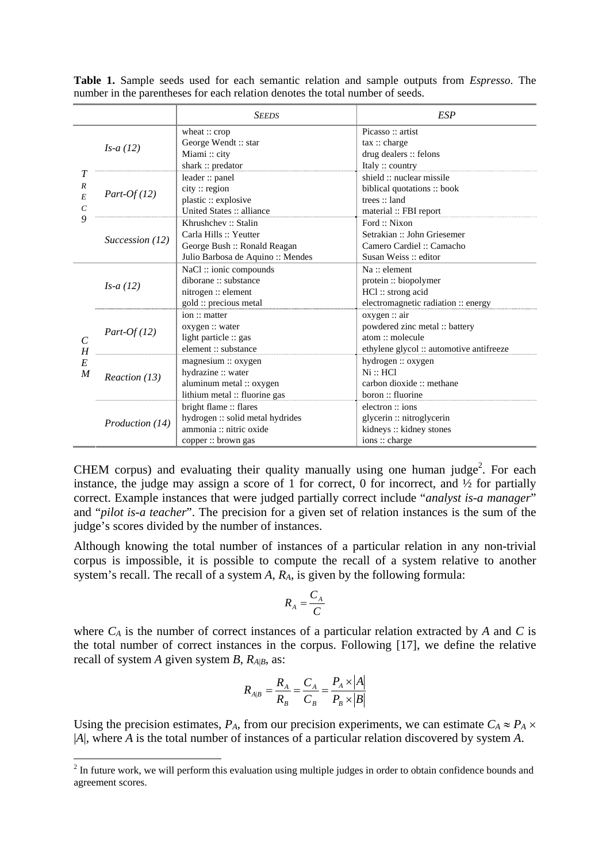|                       |                 | <b>SEEDS</b>                      | <b>ESP</b>                               |
|-----------------------|-----------------|-----------------------------------|------------------------------------------|
|                       | $Is-a(12)$      | wheat $::$ crop                   | Picasso: artist                          |
|                       |                 | George Wendt :: star              | tax::charge                              |
|                       |                 | Miami: city                       | drug dealers :: felons                   |
|                       |                 | shark $::$ predator               | Italy :: country                         |
|                       |                 | leader: panel                     | shield :: nuclear missile                |
| $\boldsymbol{R}$      | $Part-Of(12)$   | city: region                      | biblical quotations: book                |
| E                     |                 | plastic :: explosive              | trees: land                              |
| $\mathcal{C}_{0}^{0}$ |                 | United States :: alliance         | material :: FBI report                   |
| 9                     |                 | Khrushchev: Stalin                | Ford: Nixon                              |
|                       | Succession (12) | Carla Hills :: Yeutter            | Setrakian :: John Griesemer              |
|                       |                 | George Bush: Ronald Reagan        | Camero Cardiel: Camacho                  |
|                       |                 | Julio Barbosa de Aquino :: Mendes | Susan Weiss: editor                      |
|                       | $Is-a(12)$      | NaCl:: ionic compounds            | $Na$ :: element                          |
|                       |                 | diborane: substance               | protein: biopolymer                      |
|                       |                 | nitrogen :: element               | HCl: strong acid                         |
|                       |                 | gold :: precious metal            | electromagnetic radiation :: energy      |
|                       | $Part-Of(12)$   | ion :: matter                     | oxygen :: air                            |
|                       |                 | oxygen :: water                   | powdered zinc metal :: battery           |
| $\mathcal{C}$         |                 | light particle :: gas             | atom :: molecule                         |
| H                     |                 | element: substance                | ethylene glycol :: automotive antifreeze |
| E                     | Reaction (13)   | magnesium :: oxygen               | hydrogen: oxygen                         |
| $\boldsymbol{M}$      |                 | hydrazine :: water                | Ni :: HCl                                |
|                       |                 | aluminum metal :: oxygen          | carbon dioxide :: methane                |
|                       |                 | lithium metal :: fluorine gas     | boron: fluorine                          |
|                       |                 | bright flame :: flares            | electron: ions                           |
|                       | Production (14) | hydrogen :: solid metal hydrides  | glycerin :: nitroglycerin                |
|                       |                 | ammonia :: nitric oxide           | kidneys :: kidney stones                 |
|                       |                 | copper :: brown gas               | ions: charge                             |

**Table 1.** Sample seeds used for each semantic relation and sample outputs from *Espresso*. The number in the parentheses for each relation denotes the total number of seeds.

CHEM corpus) and evaluating their quality manually using one human judge<sup>2</sup>. For each instance, the judge may assign a score of 1 for correct, 0 for incorrect, and  $\frac{1}{2}$  for partially correct. Example instances that were judged partially correct include "*analyst is-a manager*" and "*pilot is-a teacher*". The precision for a given set of relation instances is the sum of the judge's scores divided by the number of instances.

Although knowing the total number of instances of a particular relation in any non-trivial corpus is impossible, it is possible to compute the recall of a system relative to another system's recall. The recall of a system *A*, *RA*, is given by the following formula:

$$
R_A = \frac{C_A}{C}
$$

where  $C_A$  is the number of correct instances of a particular relation extracted by  $A$  and  $C$  is the total number of correct instances in the corpus. Following [17], we define the relative recall of system *A* given system *B*,  $R_{A|B}$ , as:

$$
R_{A|B} = \frac{R_A}{R_B} = \frac{C_A}{C_B} = \frac{P_A \times |A|}{P_B \times |B|}
$$

Using the precision estimates,  $P_A$ , from our precision experiments, we can estimate  $C_A \approx P_A \times$ |*A*|, where *A* is the total number of instances of a particular relation discovered by system *A*.

1

 $2<sup>2</sup>$  In future work, we will perform this evaluation using multiple judges in order to obtain confidence bounds and agreement scores.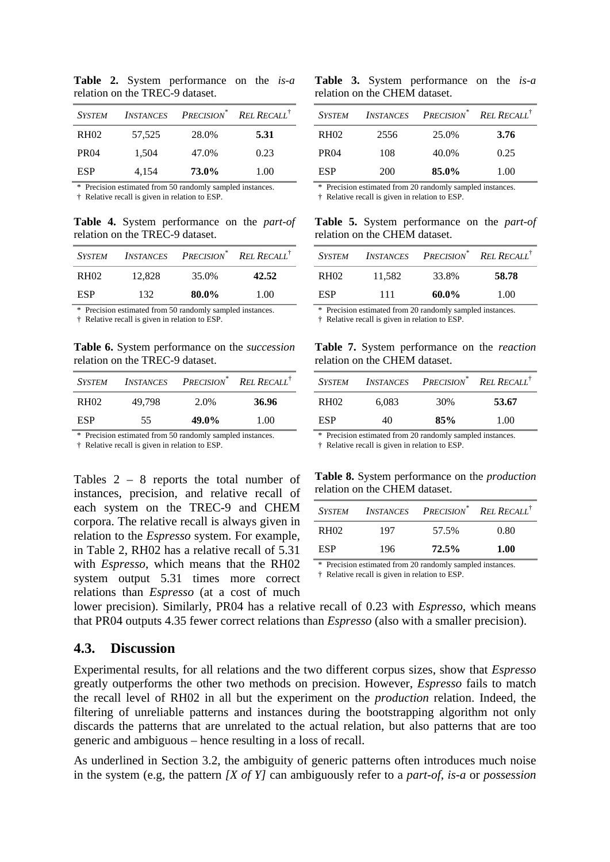**Table 2.** System performance on the *is-a* relation on the TREC-9 dataset.

| <b>SYSTEM</b> | <i>INSTANCES</i> |       | <b>PRECISION</b> <sup>*</sup> REL RECALL <sup>†</sup> |
|---------------|------------------|-------|-------------------------------------------------------|
| <b>RH02</b>   | 57,525           | 28.0% | 5.31                                                  |
| <b>PR04</b>   | 1,504            | 47.0% | 0.23                                                  |
| <b>ESP</b>    | 4,154            | 73.0% | 1.00                                                  |

\* Precision estimated from 50 randomly sampled instances.

† Relative recall is given in relation to ESP.

**Table 4.** System performance on the *part-of* relation on the TREC-9 dataset.

|             |        | SYSTEM INSTANCES PRECISION <sup>*</sup> RELAECALL <sup>†</sup> |       |
|-------------|--------|----------------------------------------------------------------|-------|
| <b>RH02</b> | 12.828 | 35.0%                                                          | 42.52 |
| ESP         | 132.   | 80.0%                                                          | 1.00  |

\* Precision estimated from 50 randomly sampled instances.

† Relative recall is given in relation to ESP.

**Table 6.** System performance on the *succession* relation on the TREC-9 dataset.

| System      |        | INSTANCES PRECISION <sup>*</sup> REL RECALL <sup>†</sup> |       |
|-------------|--------|----------------------------------------------------------|-------|
| <b>RH02</b> | 49.798 | 2.0%                                                     | 36.96 |
| ESP         | 55     | 49.0%                                                    | 1.00  |
|             |        |                                                          |       |

\* Precision estimated from 50 randomly sampled instances.

† Relative recall is given in relation to ESP.

Tables 2 – 8 reports the total number of instances, precision, and relative recall of each system on the TREC-9 and CHEM corpora. The relative recall is always given in relation to the *Espresso* system. For example, in Table 2, RH02 has a relative recall of 5.31 with *Espresso*, which means that the RH02 system output 5.31 times more correct relations than *Espresso* (at a cost of much

**Table 3.** System performance on the *is-a* relation on the CHEM dataset.

| SYSTEM      |      | <b>INSTANCES PRECISION</b> <sup>*</sup> <b>REL RECALL</b> <sup>†</sup> |      |
|-------------|------|------------------------------------------------------------------------|------|
| <b>RH02</b> | 2556 | 25.0%                                                                  | 3.76 |
| <b>PR04</b> | 108  | 40.0%                                                                  | 0.25 |
| ESP.        | 200  | 85.0%                                                                  | 1.00 |

\* Precision estimated from 20 randomly sampled instances.

† Relative recall is given in relation to ESP.

**Table 5.** System performance on the *part-of* relation on the CHEM dataset.

|      |        | SYSTEM INSTANCES PRECISION <sup>*</sup> REL RECALL <sup>†</sup> |       |
|------|--------|-----------------------------------------------------------------|-------|
| RH02 | 11.582 | 33.8%                                                           | 58.78 |
| ESP  | 111    | 60.0%                                                           | 1.00  |

\* Precision estimated from 20 randomly sampled instances.

† Relative recall is given in relation to ESP.

**Table 7.** System performance on the *reaction* relation on the CHEM dataset.

|      |       | SYSTEM INSTANCES PRECISION <sup>*</sup> REL RECALL <sup>†</sup> |       |
|------|-------|-----------------------------------------------------------------|-------|
| RH02 | 6.083 | 30%                                                             | 53.67 |
| ESP  | 40    | 85%                                                             | 1.00  |
|      |       | - -                                                             |       |

\* Precision estimated from 20 randomly sampled instances.

† Relative recall is given in relation to ESP.

**Table 8.** System performance on the *production* relation on the CHEM dataset.

| SYSTEM |      | INSTANCES PRECISION <sup>*</sup> REL RECALL <sup>†</sup> |      |
|--------|------|----------------------------------------------------------|------|
| RH02   | 197  | 57.5%                                                    | 0.80 |
| ESP    | 196. | $72.5\%$                                                 | 1.00 |

\* Precision estimated from 20 randomly sampled instances.

† Relative recall is given in relation to ESP.

lower precision). Similarly, PR04 has a relative recall of 0.23 with *Espresso*, which means that PR04 outputs 4.35 fewer correct relations than *Espresso* (also with a smaller precision).

### **4.3. Discussion**

Experimental results, for all relations and the two different corpus sizes, show that *Espresso* greatly outperforms the other two methods on precision. However, *Espresso* fails to match the recall level of RH02 in all but the experiment on the *production* relation. Indeed, the filtering of unreliable patterns and instances during the bootstrapping algorithm not only discards the patterns that are unrelated to the actual relation, but also patterns that are too generic and ambiguous – hence resulting in a loss of recall.

As underlined in Section 3.2, the ambiguity of generic patterns often introduces much noise in the system (e.g, the pattern *[X of Y]* can ambiguously refer to a *part-of*, *is-a* or *possession*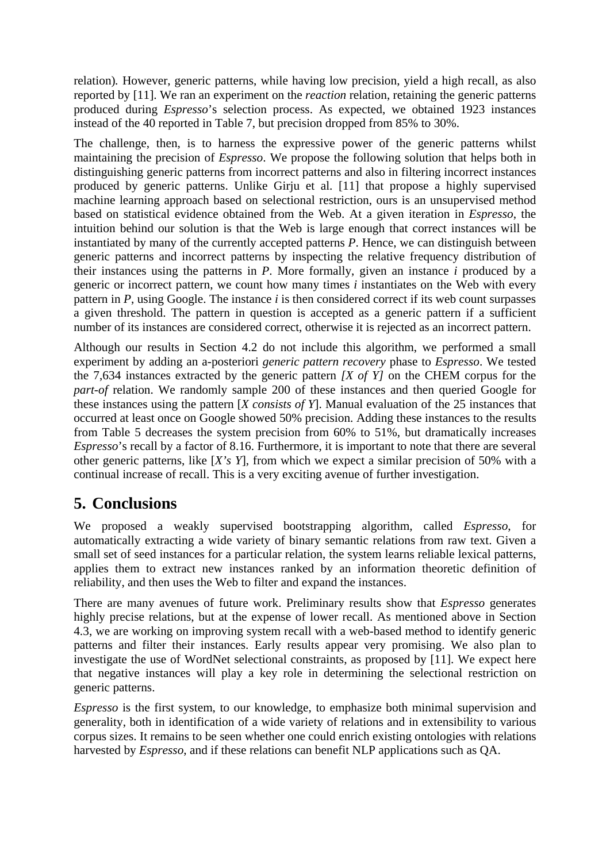relation)*.* However, generic patterns, while having low precision, yield a high recall, as also reported by [11]. We ran an experiment on the *reaction* relation, retaining the generic patterns produced during *Espresso*'s selection process. As expected, we obtained 1923 instances instead of the 40 reported in Table 7, but precision dropped from 85% to 30%.

The challenge, then, is to harness the expressive power of the generic patterns whilst maintaining the precision of *Espresso*. We propose the following solution that helps both in distinguishing generic patterns from incorrect patterns and also in filtering incorrect instances produced by generic patterns. Unlike Girju et al. [11] that propose a highly supervised machine learning approach based on selectional restriction, ours is an unsupervised method based on statistical evidence obtained from the Web. At a given iteration in *Espresso*, the intuition behind our solution is that the Web is large enough that correct instances will be instantiated by many of the currently accepted patterns *P*. Hence, we can distinguish between generic patterns and incorrect patterns by inspecting the relative frequency distribution of their instances using the patterns in *P*. More formally, given an instance *i* produced by a generic or incorrect pattern, we count how many times *i* instantiates on the Web with every pattern in *P*, using Google. The instance *i* is then considered correct if its web count surpasses a given threshold. The pattern in question is accepted as a generic pattern if a sufficient number of its instances are considered correct, otherwise it is rejected as an incorrect pattern.

Although our results in Section 4.2 do not include this algorithm, we performed a small experiment by adding an a-posteriori *generic pattern recovery* phase to *Espresso*. We tested the 7,634 instances extracted by the generic pattern *[X of Y]* on the CHEM corpus for the *part-of* relation. We randomly sample 200 of these instances and then queried Google for these instances using the pattern [*X consists of Y*]. Manual evaluation of the 25 instances that occurred at least once on Google showed 50% precision. Adding these instances to the results from Table 5 decreases the system precision from 60% to 51%, but dramatically increases *Espresso*'s recall by a factor of 8.16. Furthermore, it is important to note that there are several other generic patterns, like [*X's Y*], from which we expect a similar precision of 50% with a continual increase of recall. This is a very exciting avenue of further investigation.

# **5. Conclusions**

We proposed a weakly supervised bootstrapping algorithm, called *Espresso*, for automatically extracting a wide variety of binary semantic relations from raw text. Given a small set of seed instances for a particular relation, the system learns reliable lexical patterns, applies them to extract new instances ranked by an information theoretic definition of reliability, and then uses the Web to filter and expand the instances.

There are many avenues of future work. Preliminary results show that *Espresso* generates highly precise relations, but at the expense of lower recall. As mentioned above in Section 4.3, we are working on improving system recall with a web-based method to identify generic patterns and filter their instances. Early results appear very promising. We also plan to investigate the use of WordNet selectional constraints, as proposed by [11]. We expect here that negative instances will play a key role in determining the selectional restriction on generic patterns.

*Espresso* is the first system, to our knowledge, to emphasize both minimal supervision and generality, both in identification of a wide variety of relations and in extensibility to various corpus sizes. It remains to be seen whether one could enrich existing ontologies with relations harvested by *Espresso*, and if these relations can benefit NLP applications such as QA.